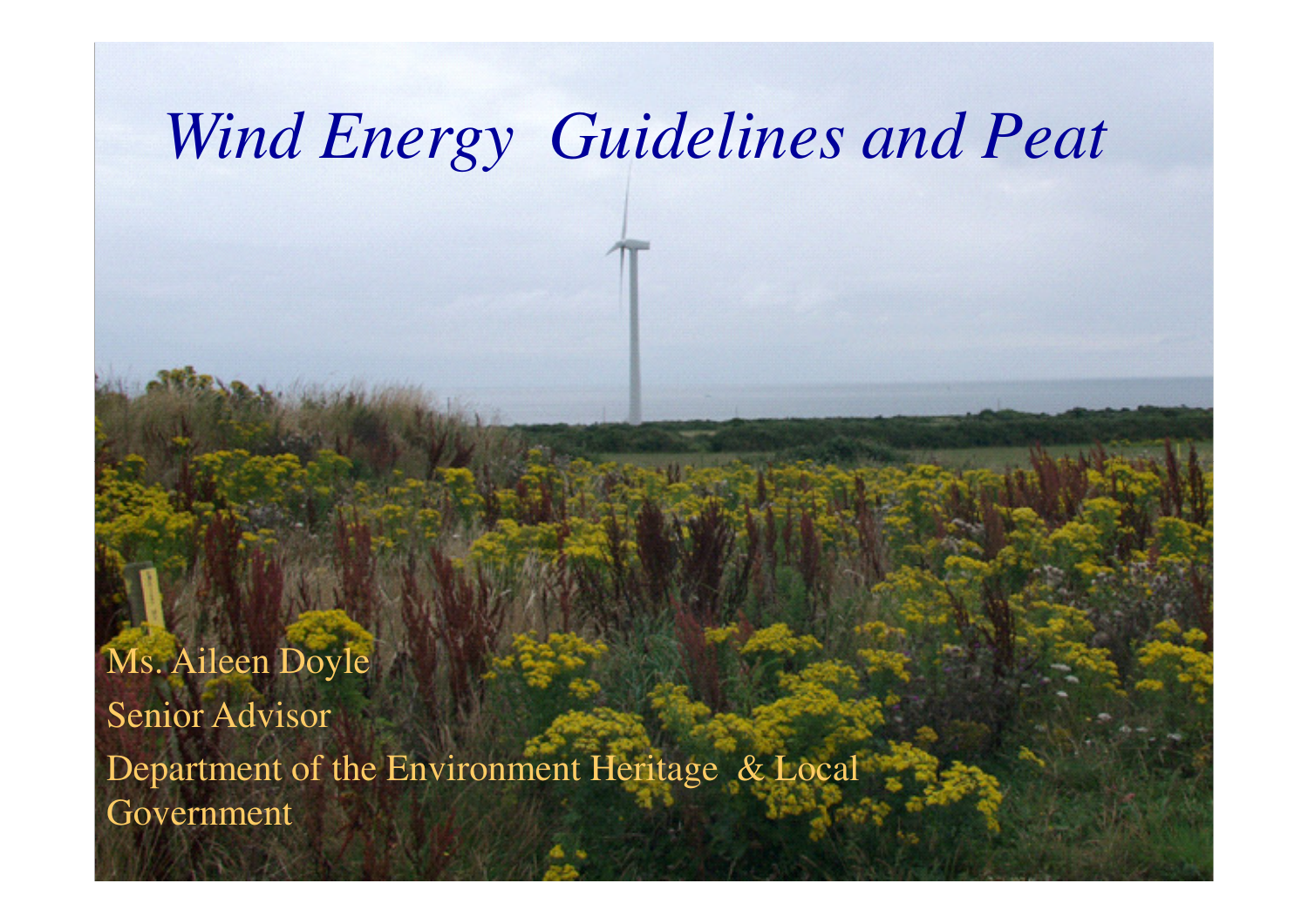# *Wind Energy Guidelines and Peat*

WARD AND AND THE STATE OF THE RESIDENCE OF THE RESIDENCE OF THE RELEASE OF THE RELEASE OF THE RELEASE OF THE RELEASE OF THE RELEASE OF THE RELEASE OF THE RELEASE OF THE RELEASE OF THE RELEASE OF THE RELEASE OF THE RELEASE

**1**Ms. Aileen DoyleSenior Advisor Department of the Environment Heritage & Local Government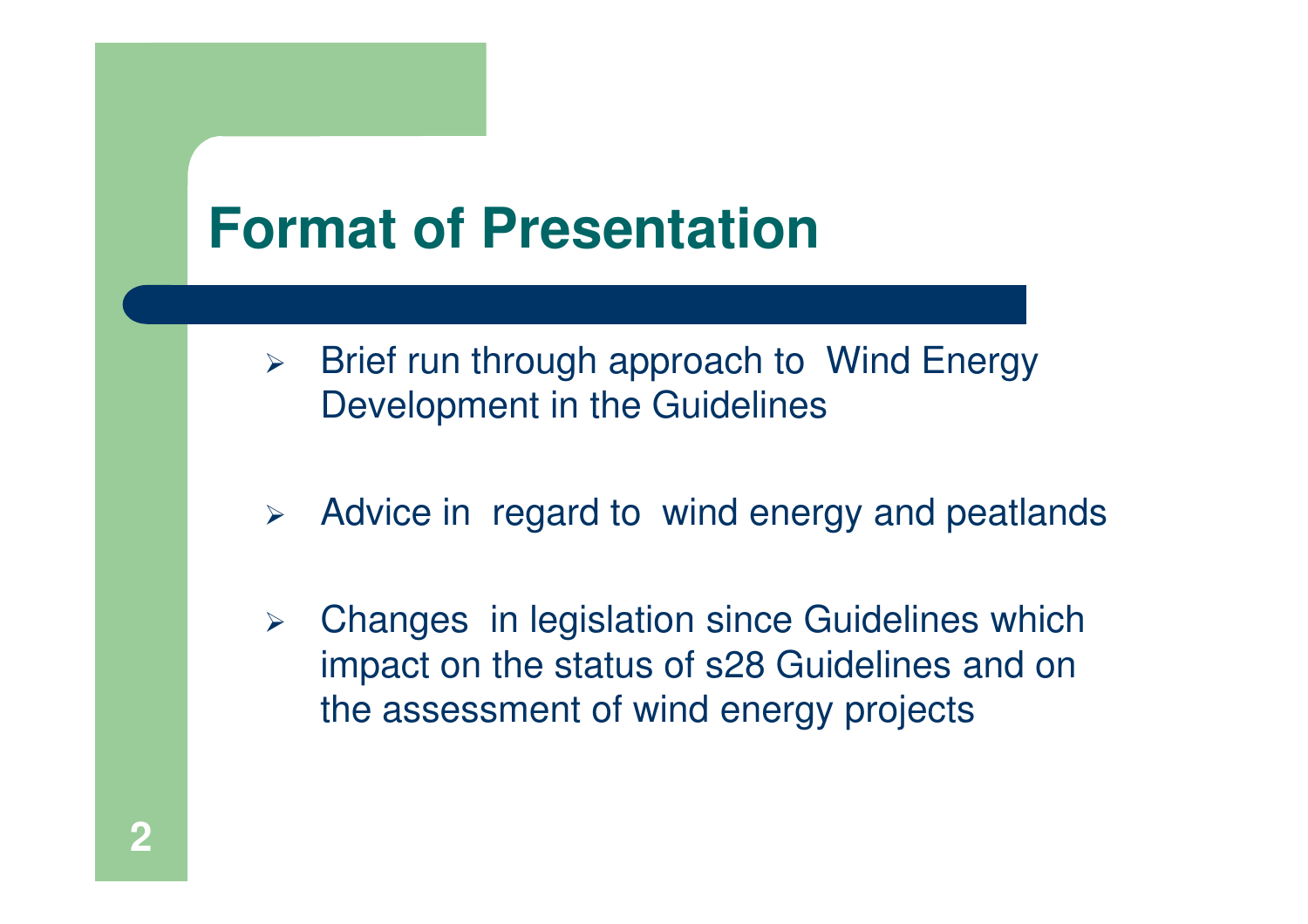## **Format of Presentation**

- $\blacktriangleright$  Brief run through approach to Wind Energy Development in the Guidelines
- Advice in regard to wind energy and peatlands
- $\blacktriangleright$  Changes in legislation since Guidelines which impact on the status of s28 Guidelines and on the assessment of wind energy projects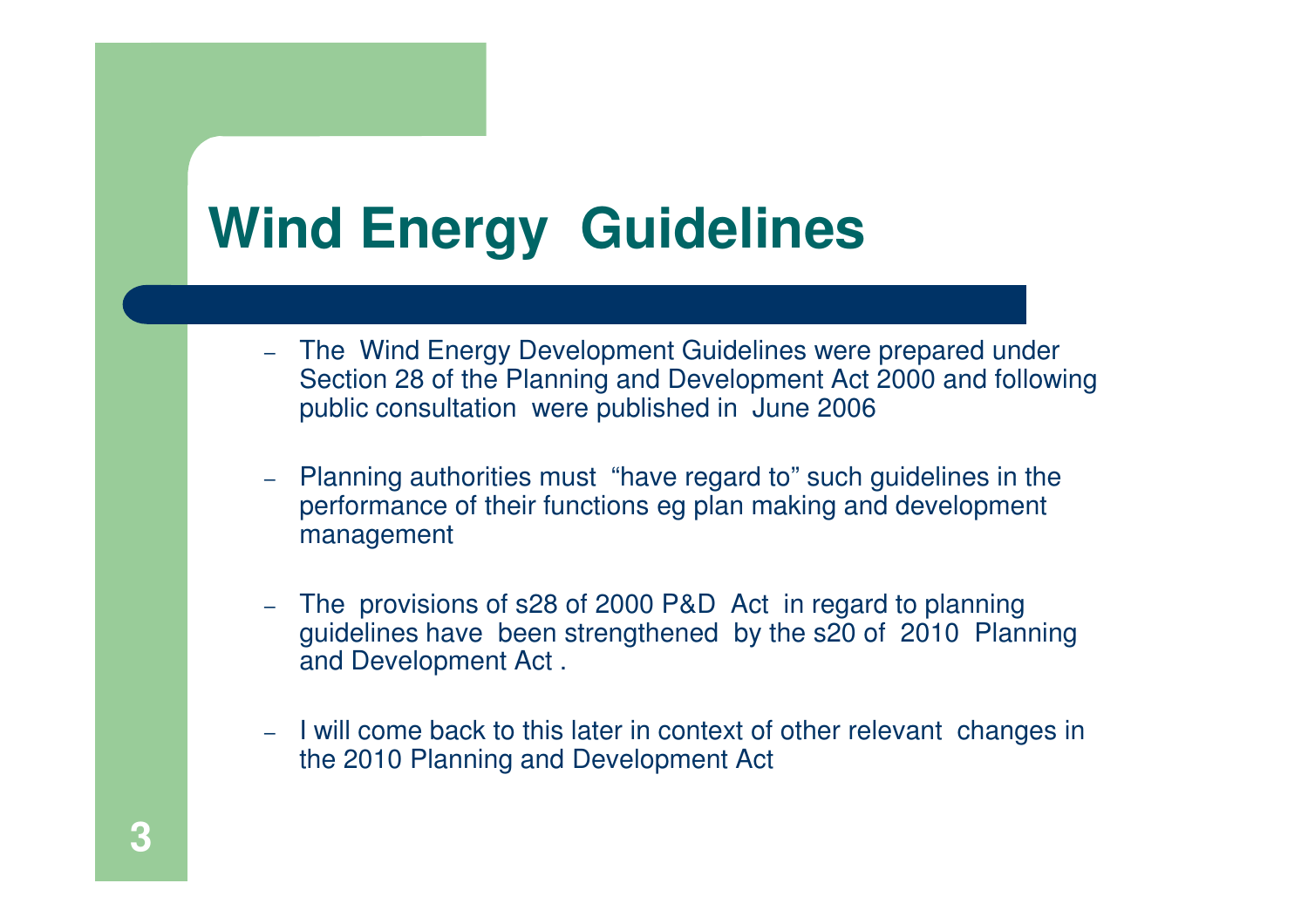# **Wind Energy Guidelines**

- The Wind Energy Development Guidelines were prepared under Section 28 of the Planning and Development Act 2000 and following public consultation were published in June 2006
- Planning authorities must "have regard to" such guidelines in the performance of their functions eg plan making and development management
- The provisions of s28 of 2000 P&D Act in regard to planning guidelines have been strengthened by the s20 of 2010 Planning and Development Act .
- I will come back to this later in context of other relevant changes in the 2010 Planning and Development Act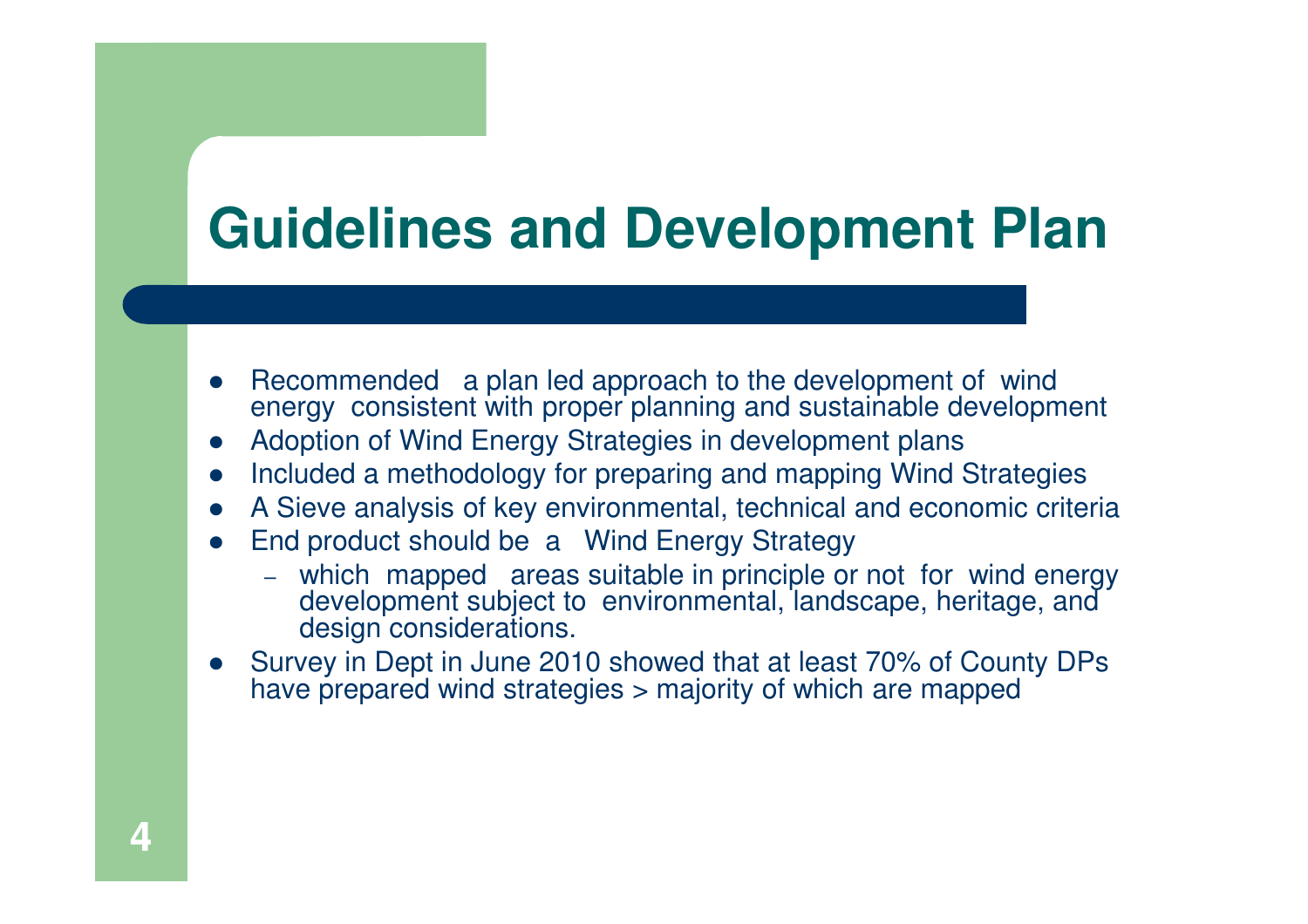## **Guidelines and Development Plan**

- $\bullet$ • Recommended a plan led approach to the development of wind energy consistent with proper planning and sustainable development
- $\bullet$ Adoption of Wind Energy Strategies in development plans
- Included a methodology for preparing and mapping Wind Strategies -
- A Sieve analysis of key environmental, technical and economic criteria  $\bullet$
- $\bullet$  End product should be a Wind Energy Strategy
	- which mapped areas suitable in principle or not for wind energy development subject to environmental, landscape, heritage, and design considerations.
- Survey in Dept in June 2010 showed that at least 70% of County DPs  $\bullet$ have prepared wind strategies > majority of which are mapped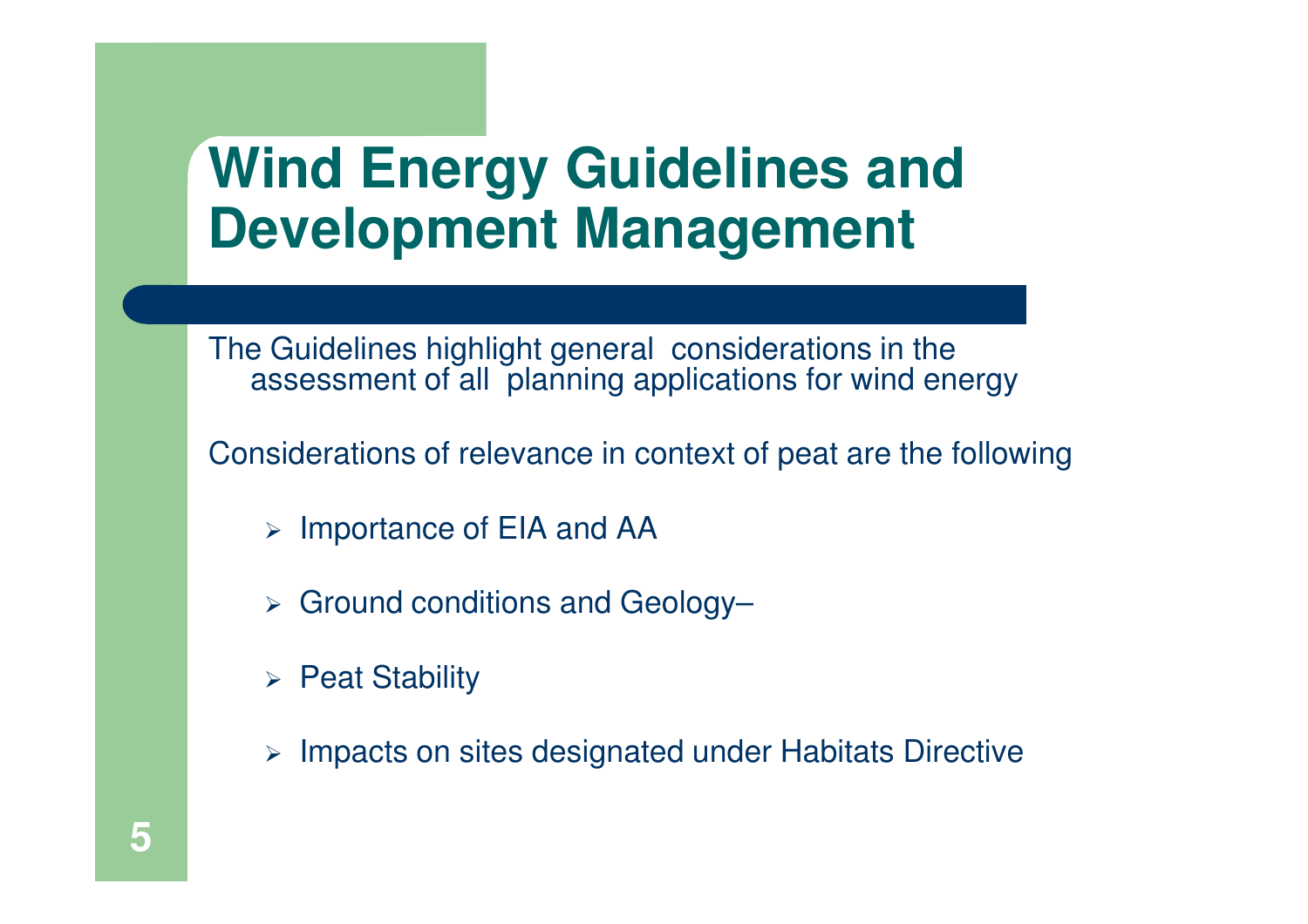## **Wind Energy Guidelines and Development Management**

The Guidelines highlight general considerations in the assessment of all planning applications for wind energy

Considerations of relevance in context of peat are the following

- > Importance of EIA and AA
- Ground conditions and Geology–
- $\triangleright$  Peat Stability
- > Impacts on sites designated under Habitats Directive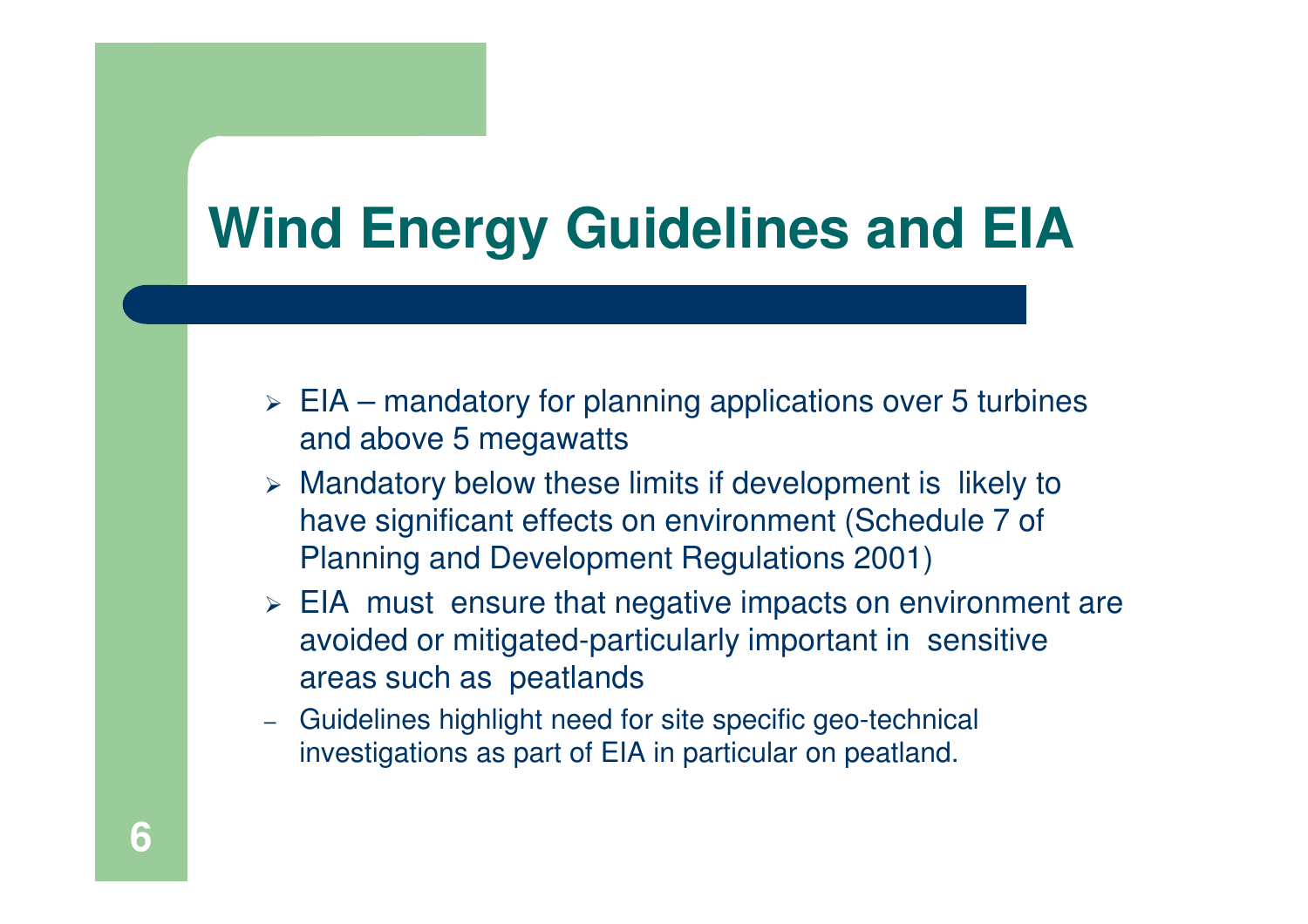# **Wind Energy Guidelines and EIA**

- $\triangleright$  EIA mandatory for planning applications over 5 turbines and above 5 megawatts
- $\triangleright$  Mandatory below these limits if development is likely to have significant effects on environment (Schedule 7 of Planning and Development Regulations 2001)
- $\triangleright$  EIA must ensure that negative impacts on environment are avoided or mitigated-particularly important in sensitive areas such as peatlands
- Guidelines highlight need for site specific geo-technical investigations as part of EIA in particular on peatland.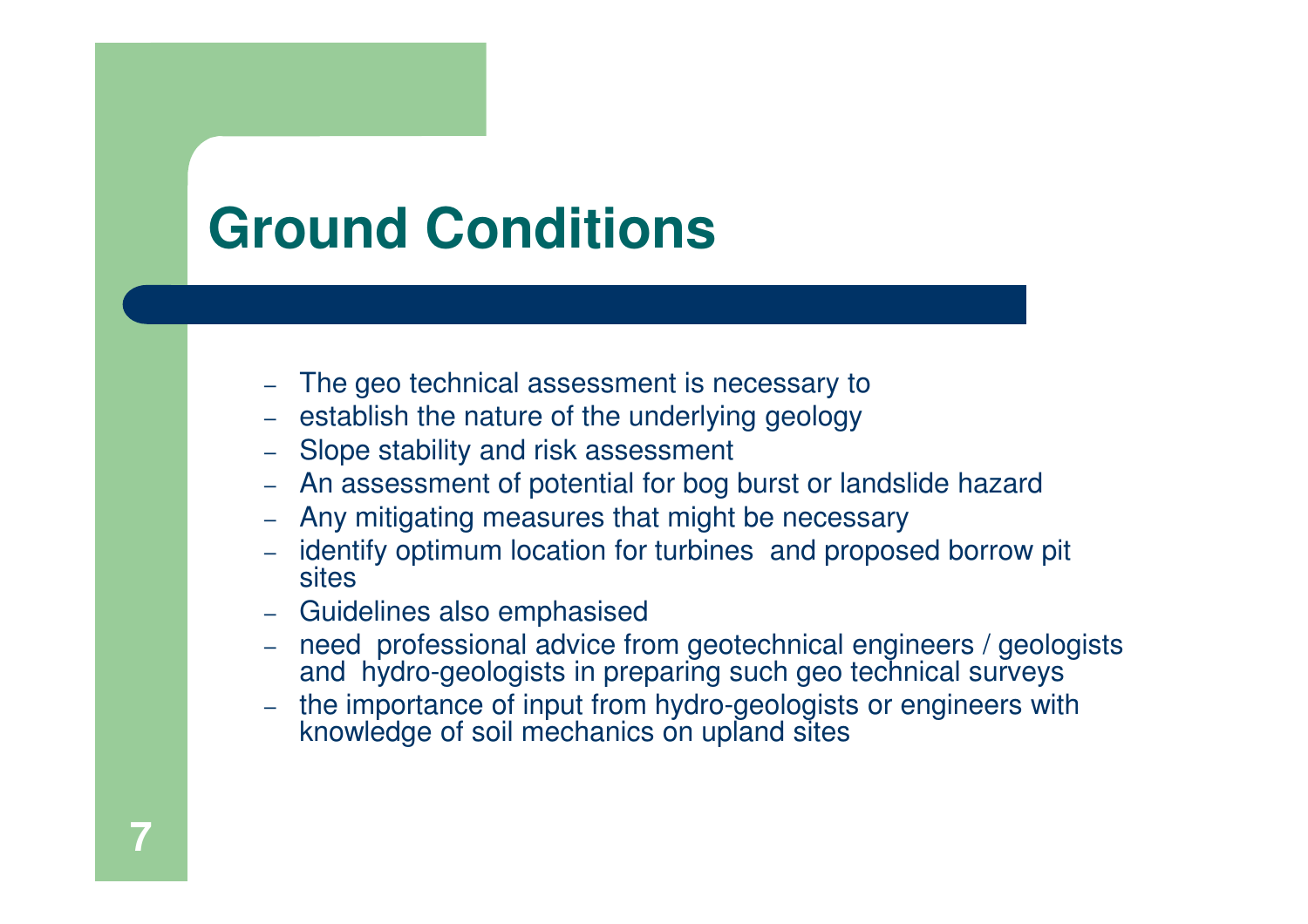# **Ground Conditions**

- The geo technical assessment is necessary to
- establish the nature of the underlying geology
- Slope stability and risk assessment
- An assessment of potential for bog burst or landslide hazard
- Any mitigating measures that might be necessary
- identify optimum location for turbines and proposed borrow pit sites
- Guidelines also emphasised
- need professional advice from geotechnical engineers / geologists and hydro-geologists in preparing such geo technical surveys
- the importance of input from hydro-geologists or engineers with knowledge of soil mechanics on upland sites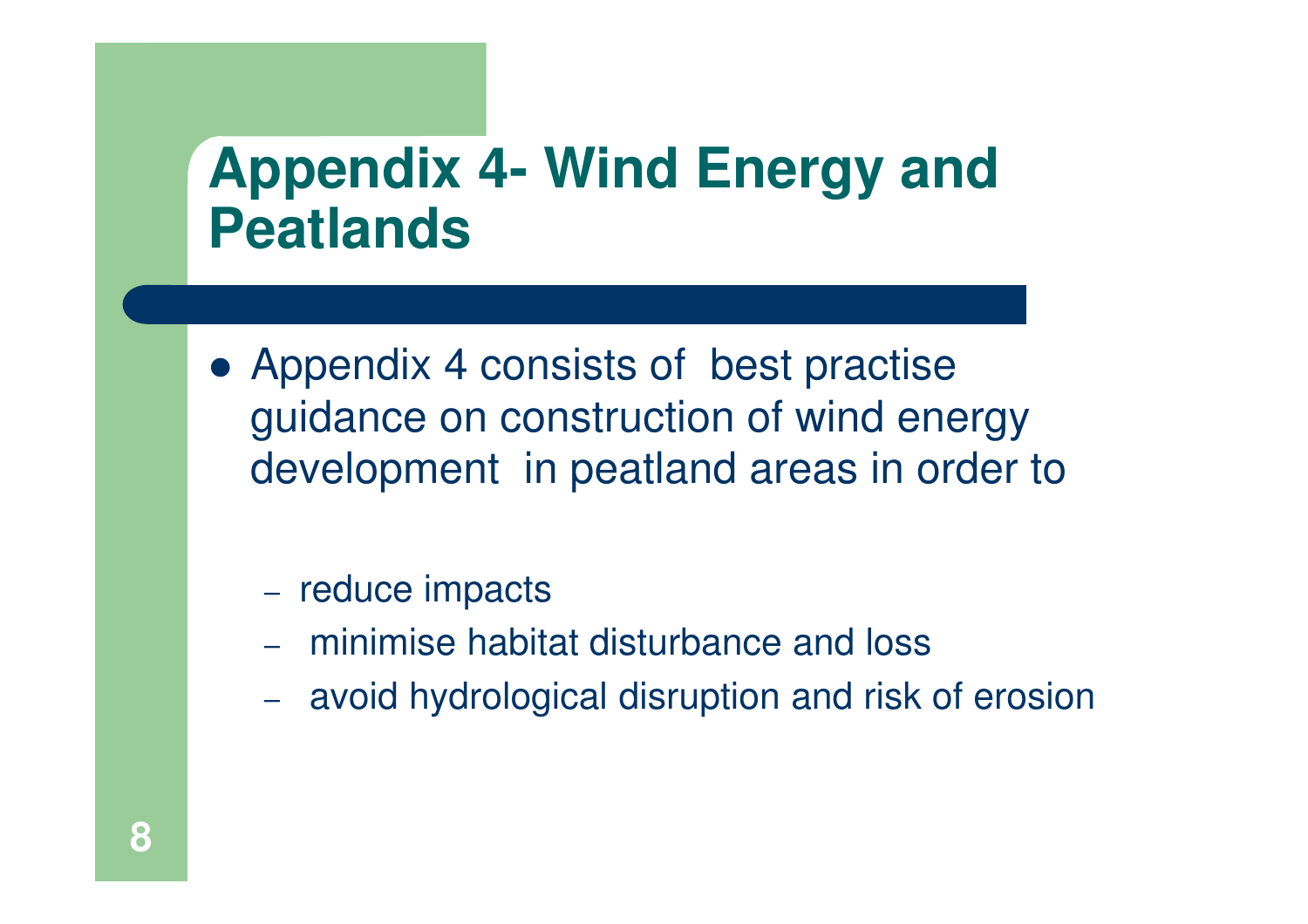## **Appendix 4- Wind Energy and Peatlands**

• Appendix 4 consists of best practise guidance on construction of wind energy development in peatland areas in order to

#### - reduce impacts

- minimise habitat disturbance and loss
- avoid hydrological disruption and risk of erosion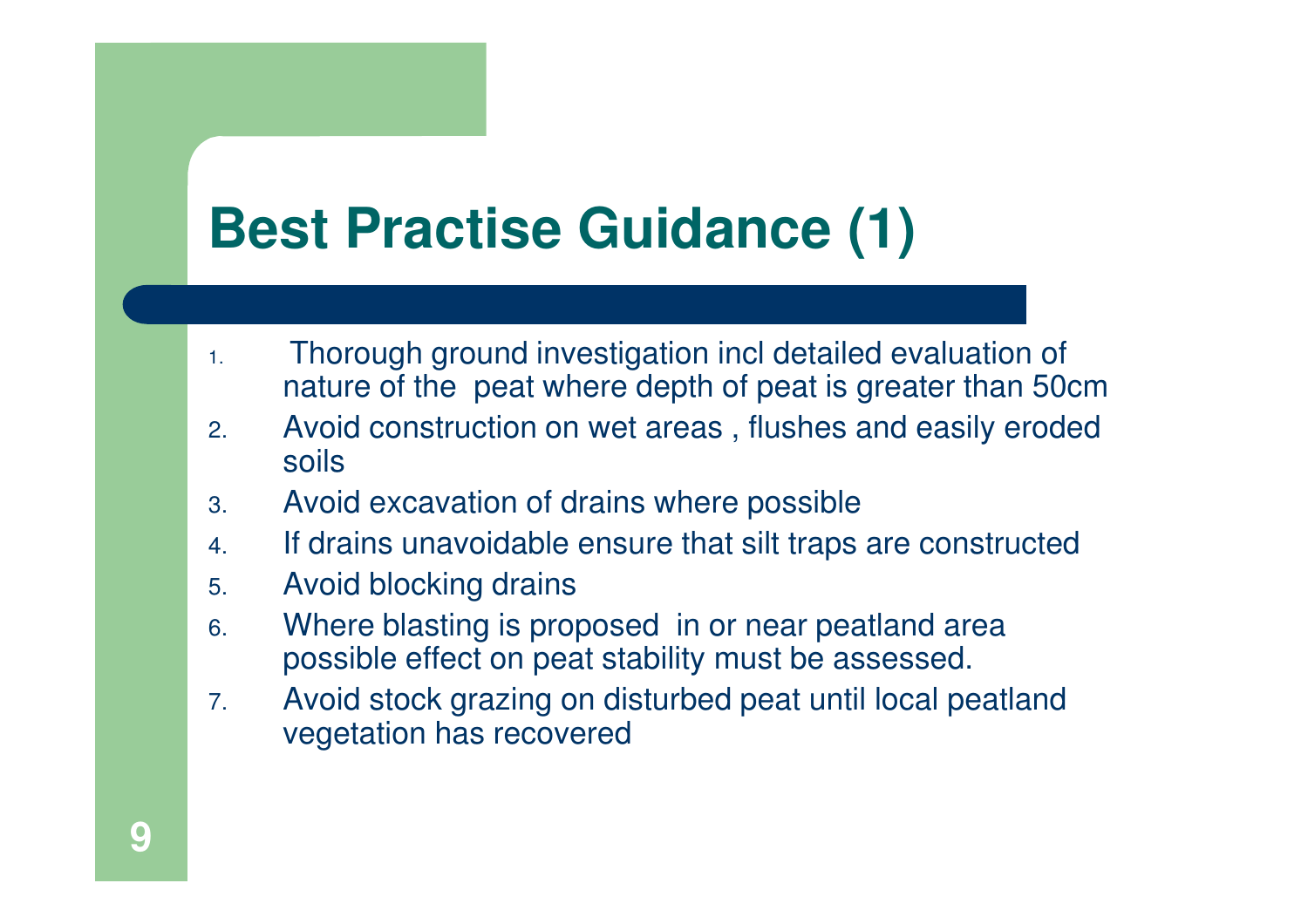# **Best Practise Guidance (1)**

- 1. Thorough ground investigation incl detailed evaluation of nature of the peat where depth of peat is greater than 50cm
- 2. Avoid construction on wet areas , flushes and easily eroded soils
- 3.Avoid excavation of drains where possible
- . If drains unavoidable ensure that silt traps are constructed 4.
- 5.Avoid blocking drains
- Where blasting is proposed in or near peatland area 6.possible effect on peat stability must be assessed.
- 7. Avoid stock grazing on disturbed peat until local peatland vegetation has recovered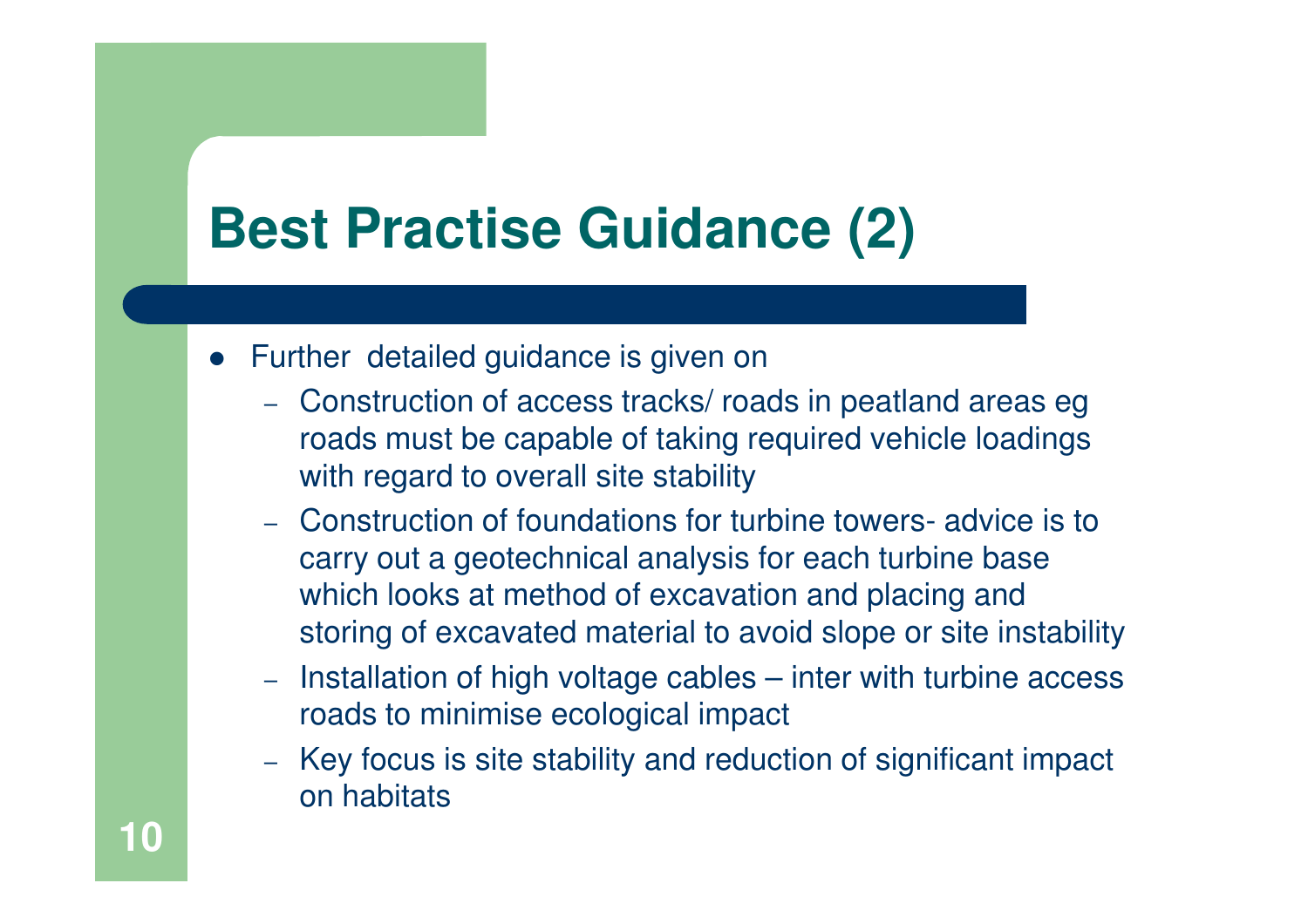# **Best Practise Guidance (2)**

- Further detailed guidance is given on
	- Construction of access tracks/ roads in peatland areas eg roads must be capable of taking required vehicle loadings with regard to overall site stability
	- Construction of foundations for turbine towers- advice is to carry out a geotechnical analysis for each turbine base which looks at method of excavation and placing andstoring of excavated material to avoid slope or site instability
	- $-$  Installation of high voltage cables  $-$  inter with turbine access roads to minimise ecological impact
	- Key focus is site stability and reduction of significant impact on habitats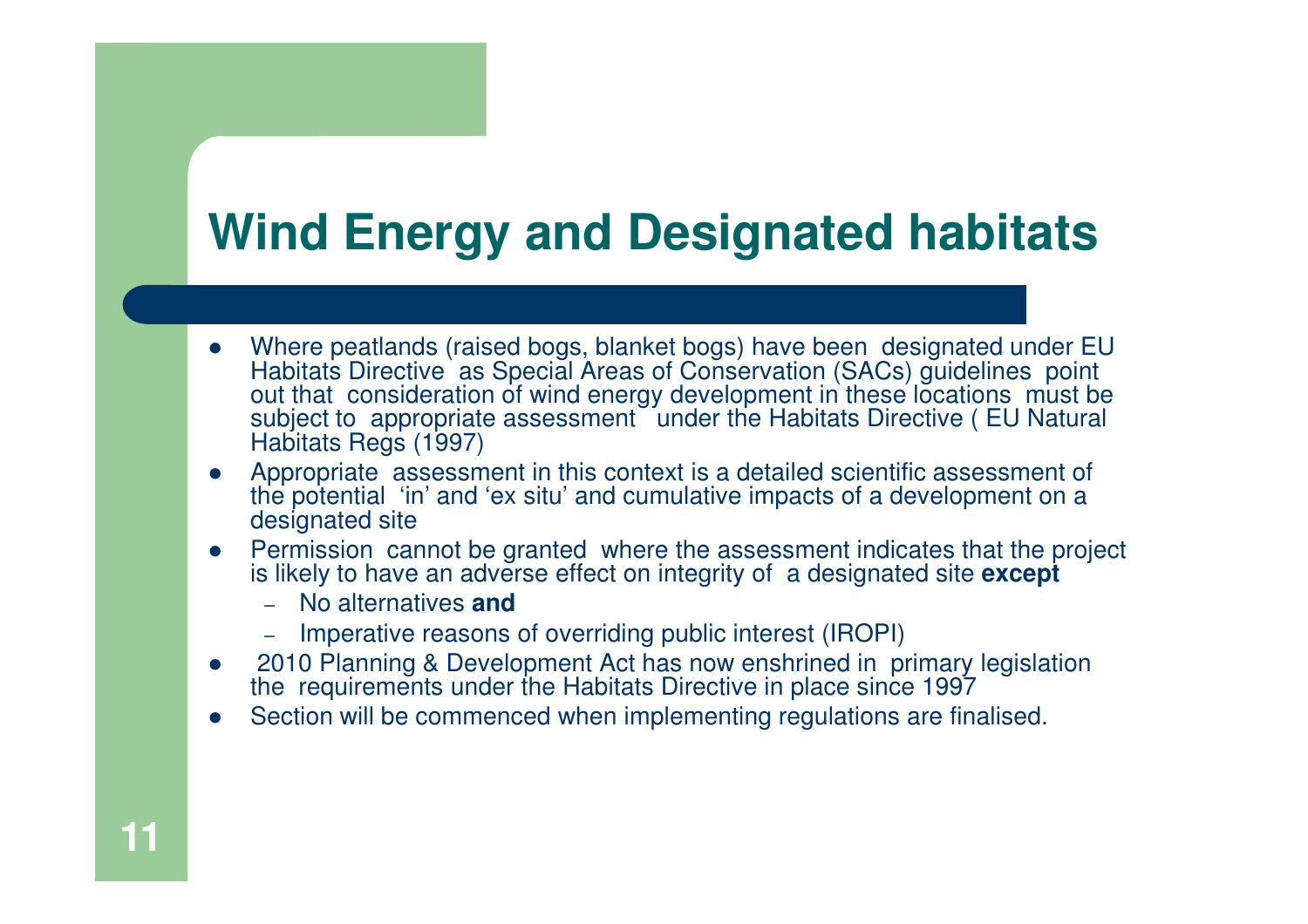### **Wind Energy and Designated habitats**

- $\bullet$  Where peatlands (raised bogs, blanket bogs) have been designated under EU Habitats Directive as Special Areas of Conservation (SACs) guidelines point out that consideration of wind energy development in these locations must be subject to appropriate assessment under the Habitats Directive (EU Natural Habitats Regs (1997)
- Appropriate assessment in this context is a detailed scientific assessment of the potential 'in' and 'ex situ' and cumulative impacts of a development on a  $\bullet$ designated site
- $\bullet$  Permission cannot be granted where the assessment indicates that the project is likely to have an adverse effect on integrity of a designated site **except** 
	- No alternatives **and**
	- Imperative reasons of overriding public interest (IROPI)
- $\bullet$  2010 Planning & Development Act has now enshrined in primary legislation the requirements under the Habitats Directive in place since 1997
- Section will be commenced when implementing regulations are finalised. $\bullet$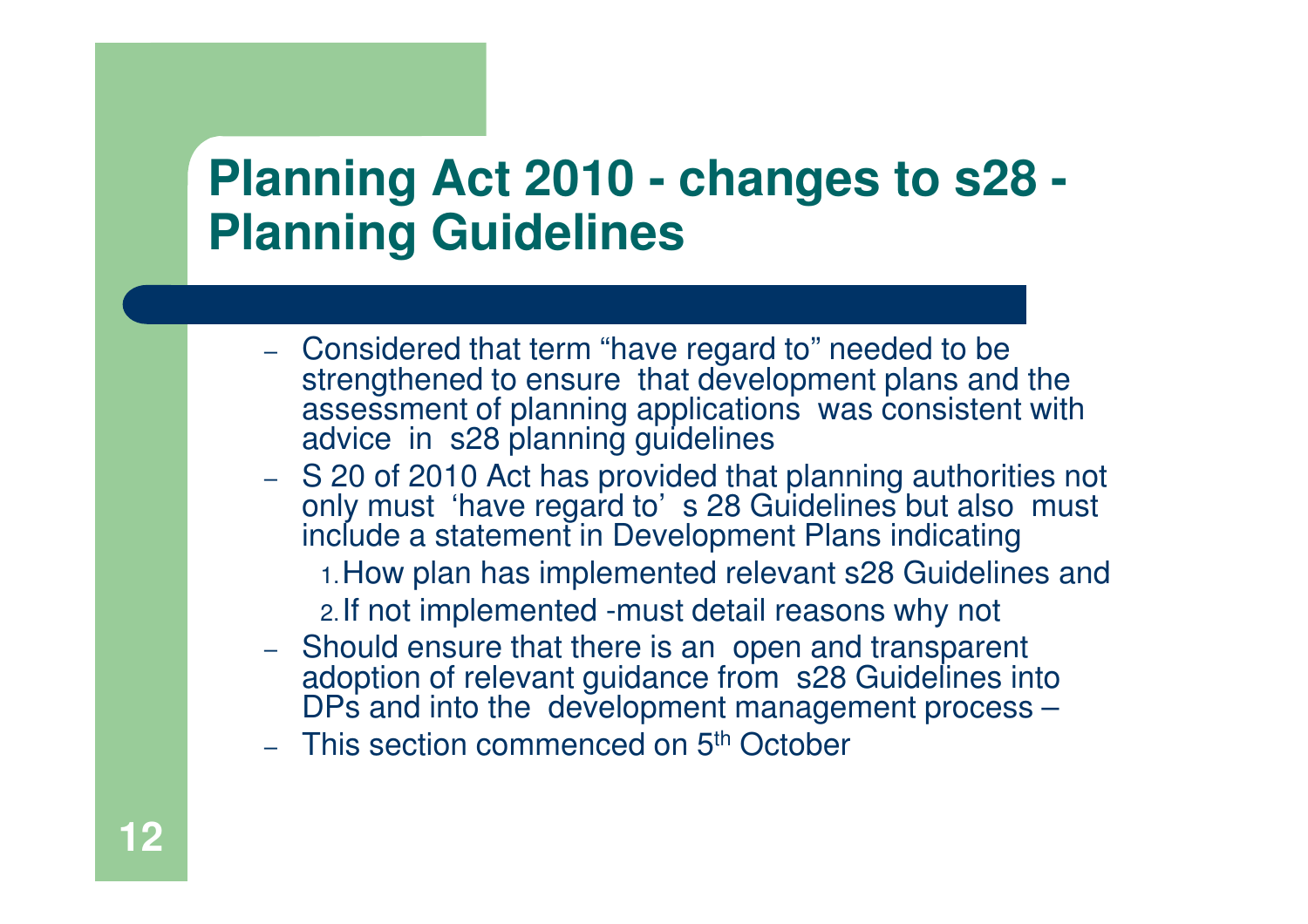### **Planning Act 2010 - changes to s28 -Planning Guidelines**

- Considered that term "have regard to" needed to be strengthened to ensure that development plans and the assessment of planning applications was consistent with advice in s28 planning guidelines
- S 20 of 2010 Act has provided that planning authorities not – only must 'have regard to' s 28 Guidelines but also must include a statement in Development Plans indicating
	- 1.How plan has implemented relevant s28 Guidelines and
	- 2.If not implemented -must detail reasons why not
- Should ensure that there is an open and transparent adoption of relevant guidance from s28 Guidelines into DPs and into the development management process –
- This section commenced on 5<sup>th</sup> October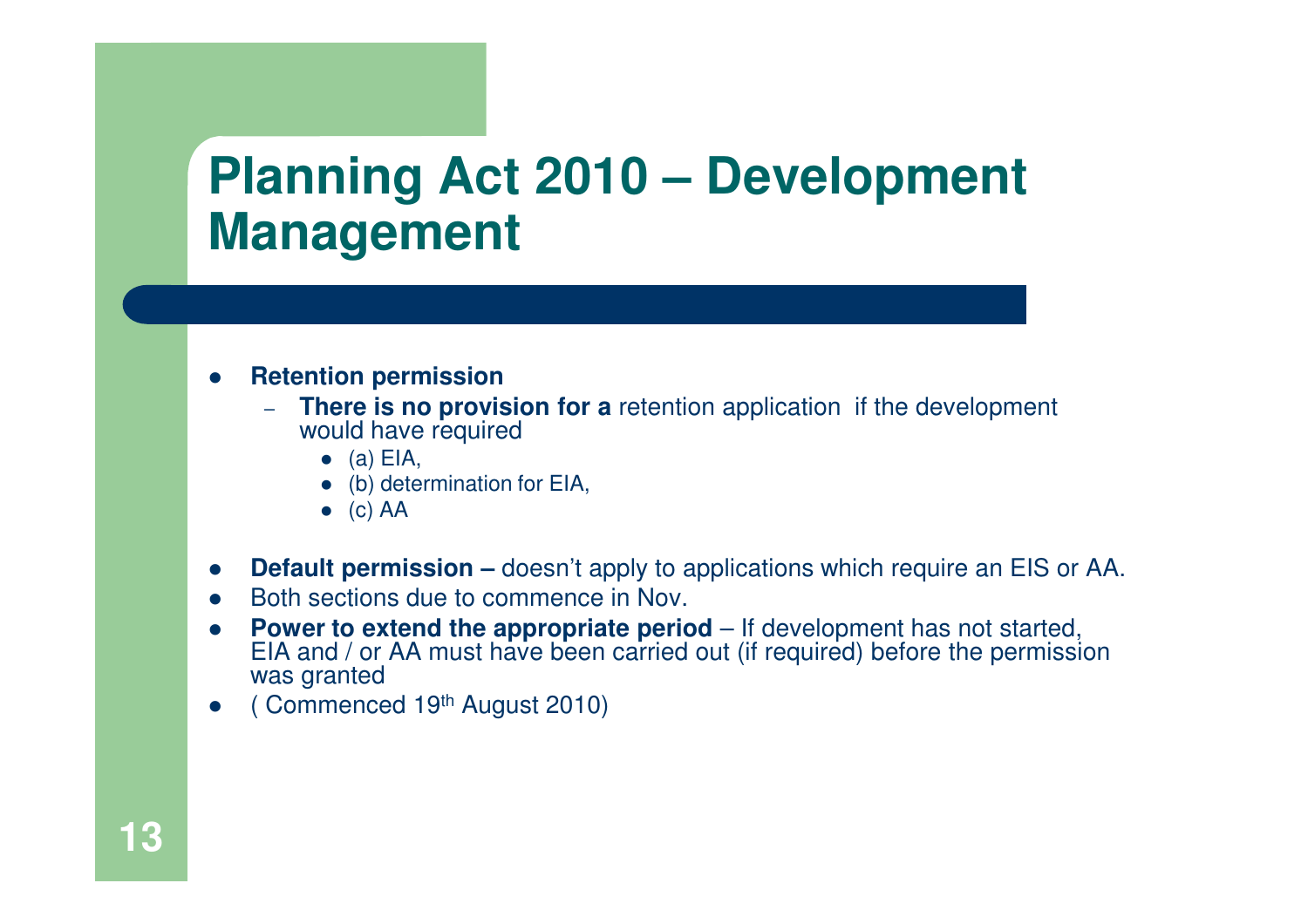### **Planning Act 2010 – Development Management**

- $\bullet$  **Retention permission** 
	- – **There is no provision for a** retention application if the development would have required
		- $\bullet$  (a) EIA,
		- $\bullet$ (b) determination for EIA,
		- $\bullet$  (c)  $AA$
- $\bullet$ **Default permission –** doesn't apply to applications which require an EIS or AA.
- $\bullet$ Both sections due to commence in Nov.
- $\bullet$ **Power to extend the appropriate period** – If development has not started, EIA and / or AA must have been carried out (if required) before the permission was granted
- $\bullet$ ( Commenced 19th August 2010)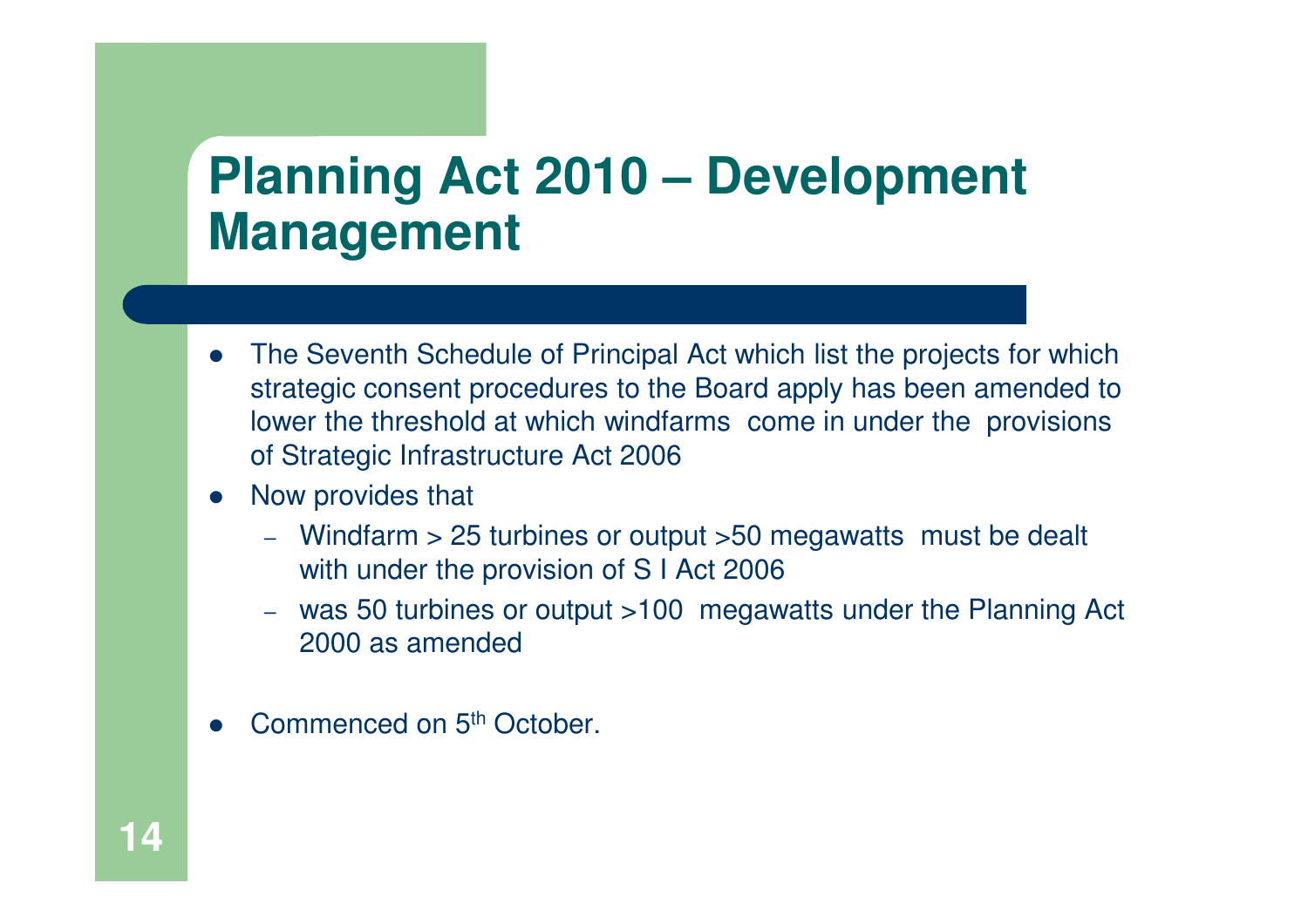### **Planning Act 2010 – Development Management**

- $\bullet$  The Seventh Schedule of Principal Act which list the projects for which strategic consent procedures to the Board apply has been amended to lower the threshold at which windfarms come in under the provisions of Strategic Infrastructure Act 2006
- $\bullet$  Now provides that
	- Windfarm > 25 turbines or output >50 megawatts must be dealt with under the provision of S I Act 2006
	- was 50 turbines or output >100 megawatts under the Planning Act 2000 as amended
- $\bullet$ Commenced on 5<sup>th</sup> October.